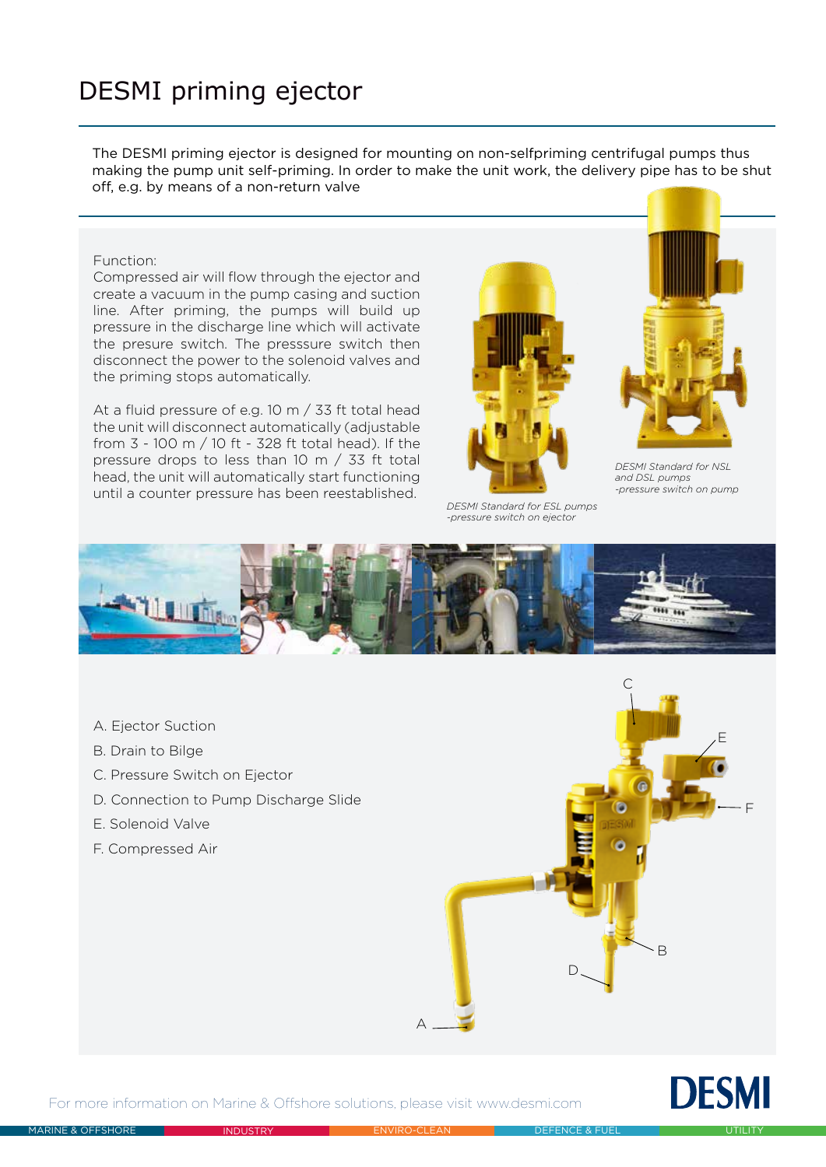## DESMI priming ejector

The DESMI priming ejector is designed for mounting on non-selfpriming centrifugal pumps thus making the pump unit self-priming. In order to make the unit work, the delivery pipe has to be shut off, e.g. by means of a non-return valve

## Function:

Compressed air will flow through the ejector and create a vacuum in the pump casing and suction line. After priming, the pumps will build up pressure in the discharge line which will activate the presure switch. The presssure switch then disconnect the power to the solenoid valves and the priming stops automatically.

At a fluid pressure of e.g. 10 m / 33 ft total head the unit will disconnect automatically (adjustable from 3 - 100 m / 10 ft - 328 ft total head). If the pressure drops to less than 10 m / 33 ft total head, the unit will automatically start functioning until a counter pressure has been reestablished.



*DESMI Standard for ESL pumps -pressure switch on ejector*



*DESMI Standard for NSL and DSL pumps -pressure switch on pump*



- A. Ejector Suction
- B. Drain to Bilge
- C. Pressure Switch on Ejector
- D. Connection to Pump Discharge Slide
- E. Solenoid Valve
- F. Compressed Air





For more information on Marine & Offshore solutions, please visit www.desmi.com